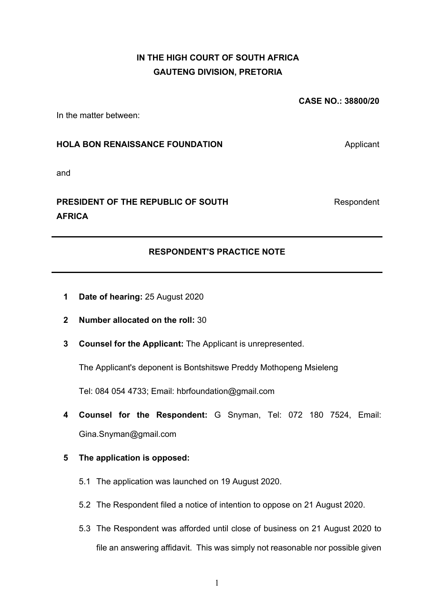## **IN THE HIGH COURT OF SOUTH AFRICA GAUTENG DIVISION, PRETORIA**

**CASE NO.: 38800/20** 

In the matter between:

### **HOLA BON RENAISSANCE FOUNDATION** Applicant

Respondent

and

# **PRESIDENT OF THE REPUBLIC OF SOUTH AFRICA**

## **RESPONDENT'S PRACTICE NOTE**

- **1 Date of hearing:** 25 August 2020
- **2 Number allocated on the roll:** 30
- **3 Counsel for the Applicant:** The Applicant is unrepresented.

The Applicant's deponent is Bontshitswe Preddy Mothopeng Msieleng

Tel: 084 054 4733; Email: hbrfoundation@gmail.com

- **4 Counsel for the Respondent:** G Snyman, Tel: 072 180 7524, Email: Gina.Snyman@gmail.com
- **5 The application is opposed:** 
	- 5.1 The application was launched on 19 August 2020.
	- 5.2 The Respondent filed a notice of intention to oppose on 21 August 2020.
	- 5.3 The Respondent was afforded until close of business on 21 August 2020 to file an answering affidavit. This was simply not reasonable nor possible given